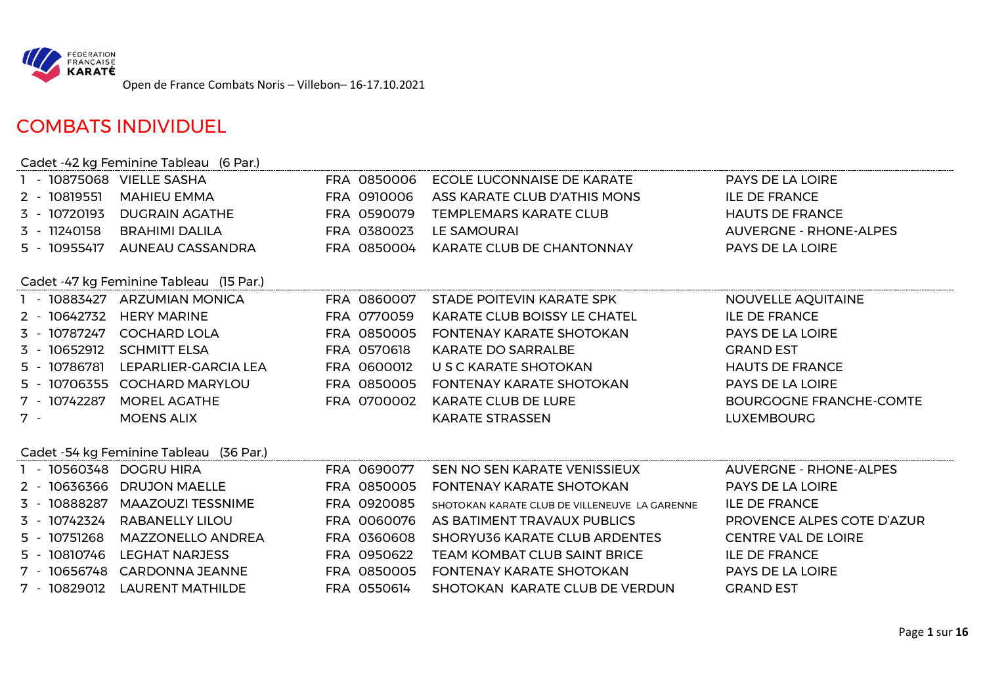

# COMBATS INDIVIDUEL

### Cadet -42 kg Feminine Tableau (6 Par.)

|                         | 1 - 10875068 VIELLE SASHA               | FRA 0850006 | <b>ECOLE LUCONNAISE DE KARATE</b>             | <b>PAYS DE LA LOIRE</b>        |
|-------------------------|-----------------------------------------|-------------|-----------------------------------------------|--------------------------------|
| 2 - 10819551            | <b>MAHIEU EMMA</b>                      | FRA 0910006 | ASS KARATE CLUB D'ATHIS MONS                  | <b>ILE DE FRANCE</b>           |
| 3 - 10720193            | <b>DUGRAIN AGATHE</b>                   | FRA 0590079 | TEMPLEMARS KARATE CLUB                        | <b>HAUTS DE FRANCE</b>         |
| 3 - 11240158            | <b>BRAHIMI DALILA</b>                   | FRA 0380023 | LE SAMOURAI                                   | <b>AUVERGNE - RHONE-ALPES</b>  |
| 5 - 10955417            | AUNEAU CASSANDRA                        | FRA 0850004 | KARATE CLUB DE CHANTONNAY                     | PAYS DE LA LOIRE               |
|                         |                                         |             |                                               |                                |
|                         | Cadet -47 kg Feminine Tableau (15 Par.) |             |                                               |                                |
|                         | 1 - 10883427 ARZUMIAN MONICA            | FRA 0860007 | STADE POITEVIN KARATE SPK                     | NOUVELLE AQUITAINE             |
|                         | 2 - 10642732 HERY MARINE                | FRA 0770059 | <b>KARATE CLUB BOISSY LE CHATEL</b>           | <b>ILE DE FRANCE</b>           |
|                         | 3 - 10787247 COCHARD LOLA               | FRA 0850005 | <b>FONTENAY KARATE SHOTOKAN</b>               | PAYS DE LA LOIRE               |
| 3 - 10652912            | <b>SCHMITT ELSA</b>                     | FRA 0570618 | <b>KARATE DO SARRALBE</b>                     | <b>GRAND EST</b>               |
| 5 - 10786781            | LEPARLIER-GARCIA LEA                    | FRA 0600012 | U S C KARATE SHOTOKAN                         | <b>HAUTS DE FRANCE</b>         |
|                         | 5 - 10706355 COCHARD MARYLOU            | FRA 0850005 | FONTENAY KARATE SHOTOKAN                      | PAYS DE LA LOIRE               |
| 7 - 10742287            | <b>MOREL AGATHE</b>                     | FRA 0700002 | <b>KARATE CLUB DE LURE</b>                    | <b>BOURGOGNE FRANCHE-COMTE</b> |
| $7 -$                   | <b>MOENS ALIX</b>                       |             | <b>KARATE STRASSEN</b>                        | <b>LUXEMBOURG</b>              |
|                         |                                         |             |                                               |                                |
|                         | Cadet -54 kg Feminine Tableau (36 Par.) |             |                                               |                                |
| 1 - 10560348 DOGRU HIRA |                                         | FRA 0690077 | SEN NO SEN KARATE VENISSIEUX                  | <b>AUVERGNE - RHONE-ALPES</b>  |
|                         | 2 - 10636366 DRUJON MAELLE              | FRA 0850005 | <b>FONTENAY KARATE SHOTOKAN</b>               | <b>PAYS DE LA LOIRE</b>        |
|                         | 3 - 10888287 MAAZOUZI TESSNIME          | FRA 0920085 | SHOTOKAN KARATE CLUB DE VILLENEUVE LA GARENNE | <b>ILE DE FRANCE</b>           |
| 3 - 10742324            | <b>RABANELLY LILOU</b>                  | FRA 0060076 | AS BATIMENT TRAVAUX PUBLICS                   | PROVENCE ALPES COTE D'AZUR     |
| 5 - 10751268            | <b>MAZZONELLO ANDREA</b>                | FRA 0360608 | SHORYU36 KARATE CLUB ARDENTES                 | <b>CENTRE VAL DE LOIRE</b>     |
| 5 - 10810746            | <b>LEGHAT NARJESS</b>                   | FRA 0950622 | <b>TEAM KOMBAT CLUB SAINT BRICE</b>           | <b>ILE DE FRANCE</b>           |
|                         | 7 - 10656748 CARDONNA JEANNE            | FRA 0850005 | <b>FONTENAY KARATE SHOTOKAN</b>               | <b>PAYS DE LA LOIRE</b>        |
| 7 - 10829012            | <b>LAURENT MATHILDE</b>                 | FRA 0550614 | SHOTOKAN KARATE CLUB DE VERDUN                | <b>GRAND EST</b>               |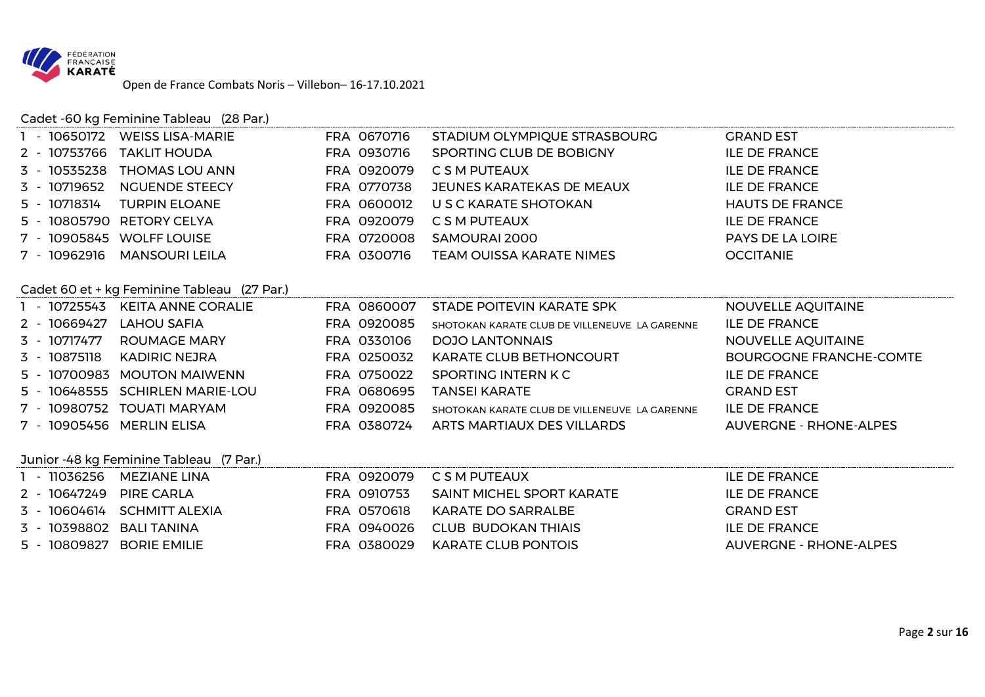

#### Cadet -60 kg Feminine Tableau (28 Par.)

| 1 - 10650172              | <b>WEISS LISA-MARIE</b>                     | FRA 0670716 | STADIUM OLYMPIQUE STRASBOURG                  | <b>GRAND EST</b>               |
|---------------------------|---------------------------------------------|-------------|-----------------------------------------------|--------------------------------|
| 2 - 10753766              | TAKLIT HOUDA                                | FRA 0930716 | SPORTING CLUB DE BOBIGNY                      | <b>ILE DE FRANCE</b>           |
| 3 - 10535238              | <b>THOMAS LOU ANN</b>                       | FRA 0920079 | C S M PUTEAUX                                 | <b>ILE DE FRANCE</b>           |
| 3 - 10719652              | <b>NGUENDE STEECY</b>                       | FRA 0770738 | JEUNES KARATEKAS DE MEAUX                     | <b>ILE DE FRANCE</b>           |
| 5 - 10718314              | <b>TURPIN ELOANE</b>                        | FRA 0600012 | U S C KARATE SHOTOKAN                         | <b>HAUTS DE FRANCE</b>         |
|                           | 5 - 10805790 RETORY CELYA                   | FRA 0920079 | C S M PUTEAUX                                 | <b>ILE DE FRANCE</b>           |
| 7 - 10905845 WOLFF LOUISE |                                             | FRA 0720008 | SAMOURAI 2000                                 | PAYS DE LA LOIRE               |
| 7 - 10962916              | <b>MANSOURI LEILA</b>                       | FRA 0300716 | TEAM OUISSA KARATE NIMES                      | <b>OCCITANIE</b>               |
|                           |                                             |             |                                               |                                |
|                           | Cadet 60 et + kg Feminine Tableau (27 Par.) |             |                                               |                                |
|                           | 1 - 10725543 KEITA ANNE CORALIE             | FRA 0860007 | STADE POITEVIN KARATE SPK                     | NOUVELLE AQUITAINE             |
| 2 - 10669427              | <b>LAHOU SAFIA</b>                          | FRA 0920085 | SHOTOKAN KARATE CLUB DE VILLENEUVE LA GARENNE | <b>ILE DE FRANCE</b>           |
| 3 - 10717477              | ROUMAGE MARY                                | FRA 0330106 | <b>DOJO LANTONNAIS</b>                        | NOUVELLE AQUITAINE             |
| 3 - 10875118              | <b>KADIRIC NEJRA</b>                        | FRA 0250032 | KARATE CLUB BETHONCOURT                       | <b>BOURGOGNE FRANCHE-COMTE</b> |
|                           | 5 - 10700983 MOUTON MAIWENN                 | FRA 0750022 | SPORTING INTERN K C                           | <b>ILE DE FRANCE</b>           |
|                           | 5 - 10648555 SCHIRLEN MARIE-LOU             | FRA 0680695 | <b>TANSEI KARATE</b>                          | <b>GRAND EST</b>               |
|                           | 7 - 10980752 TOUATI MARYAM                  | FRA 0920085 | SHOTOKAN KARATE CLUB DE VILLENEUVE LA GARENNE | <b>ILE DE FRANCE</b>           |
| 7 - 10905456 MERLIN ELISA |                                             | FRA 0380724 | ARTS MARTIAUX DES VILLARDS                    | <b>AUVERGNE - RHONE-ALPES</b>  |
|                           |                                             |             |                                               |                                |
|                           | Junior -48 kg Feminine Tableau (7 Par.)     |             |                                               |                                |
| 1 - 11036256              | <b>MEZIANE LINA</b>                         | FRA 0920079 | C S M PUTEAUX                                 | <b>ILE DE FRANCE</b>           |
| 2 - 10647249              | <b>PIRE CARLA</b>                           | FRA 0910753 | SAINT MICHEL SPORT KARATE                     | ILE DE FRANCE                  |
|                           | 3 - 10604614 SCHMITT ALEXIA                 | FRA 0570618 | <b>KARATE DO SARRALBE</b>                     | <b>GRAND EST</b>               |
| 3 - 10398802 BALI TANINA  |                                             | FRA 0940026 | <b>CLUB BUDOKAN THIAIS</b>                    | <b>ILE DE FRANCE</b>           |

- 10809827 BORIE EMILIE FRA 0380029 KARATE CLUB PONTOIS AUVERGNE - RHONE-ALPES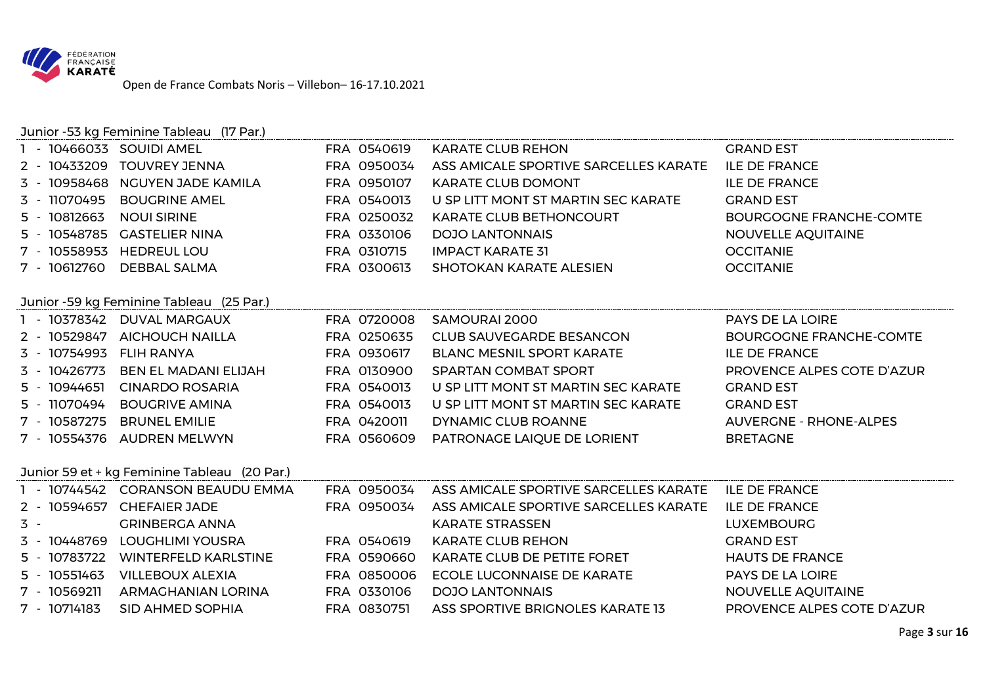

### Junior -53 kg Feminine Tableau (17 Par.)

| 1 - 10466033 SOUIDI AMEL |                                              | FRA 0540619 | <b>KARATE CLUB REHON</b>                          | <b>GRAND EST</b>               |
|--------------------------|----------------------------------------------|-------------|---------------------------------------------------|--------------------------------|
|                          | 2 - 10433209 TOUVREY JENNA                   | FRA 0950034 | ASS AMICALE SPORTIVE SARCELLES KARATE             | <b>ILE DE FRANCE</b>           |
|                          | 3 - 10958468 NGUYEN JADE KAMILA              | FRA 0950107 | <b>KARATE CLUB DOMONT</b>                         | <b>ILE DE FRANCE</b>           |
|                          | 3 - 11070495 BOUGRINE AMEL                   | FRA 0540013 | U SP LITT MONT ST MARTIN SEC KARATE               | <b>GRAND EST</b>               |
| 5 - 10812663             | <b>NOUI SIRINE</b>                           | FRA 0250032 | <b>KARATE CLUB BETHONCOURT</b>                    | <b>BOURGOGNE FRANCHE-COMTE</b> |
|                          | 5 - 10548785 GASTELIER NINA                  | FRA 0330106 | <b>DOJO LANTONNAIS</b>                            | <b>NOUVELLE AQUITAINE</b>      |
|                          | 7 - 10558953 HEDREUL LOU                     | FRA 0310715 | <b>IMPACT KARATE 31</b>                           | <b>OCCITANIE</b>               |
|                          | 7 - 10612760 DEBBAL SALMA                    | FRA 0300613 | <b>SHOTOKAN KARATE ALESIEN</b>                    | <b>OCCITANIE</b>               |
|                          | Junior -59 kg Feminine Tableau (25 Par.)     |             |                                                   |                                |
|                          | 1 - 10378342 DUVAL MARGAUX                   | FRA 0720008 | SAMOURAI 2000                                     | <b>PAYS DE LA LOIRE</b>        |
|                          | 2 - 10529847 AICHOUCH NAILLA                 | FRA 0250635 | CLUB SAUVEGARDE BESANCON                          | <b>BOURGOGNE FRANCHE-COMTE</b> |
| 3 - 10754993 FLIH RANYA  |                                              | FRA 0930617 | <b>BLANC MESNIL SPORT KARATE</b>                  | <b>ILE DE FRANCE</b>           |
| 3 - 10426773             | BEN EL MADANI ELIJAH                         | FRA 0130900 | <b>SPARTAN COMBAT SPORT</b>                       | PROVENCE ALPES COTE D'AZUR     |
|                          | 5 - 10944651 CINARDO ROSARIA                 | FRA 0540013 | U SP LITT MONT ST MARTIN SEC KARATE               | <b>GRAND EST</b>               |
|                          | 5 - 11070494 BOUGRIVE AMINA                  | FRA 0540013 | U SP LITT MONT ST MARTIN SEC KARATE               | <b>GRAND EST</b>               |
| 7 - 10587275             | <b>BRUNEL EMILIE</b>                         | FRA 0420011 | <b>DYNAMIC CLUB ROANNE</b>                        | <b>AUVERGNE - RHONE-ALPES</b>  |
|                          | 7 - 10554376 AUDREN MELWYN                   | FRA 0560609 | PATRONAGE LAIQUE DE LORIENT                       | <b>BRETAGNE</b>                |
|                          | Junior 59 et + kg Feminine Tableau (20 Par.) |             |                                                   |                                |
|                          | 1 - 10744542 CORANSON BEAUDU EMMA            |             | FRA 0950034 ASS AMICALE SPORTIVE SARCELLES KARATE | <b>ILE DE FRANCE</b>           |
|                          | 2 - 10594657 CHEFAIER JADE                   | FRA 0950034 | ASS AMICALE SPORTIVE SARCELLES KARATE             | <b>ILE DE FRANCE</b>           |
| $3 -$                    | <b>GRINBERGA ANNA</b>                        |             | <b>KARATE STRASSEN</b>                            | <b>LUXEMBOURG</b>              |
|                          | 3 - 10448769 LOUGHLIMI YOUSRA                | FRA 0540619 | <b>KARATE CLUB REHON</b>                          | <b>GRAND EST</b>               |
|                          | 5 - 10783722 WINTERFELD KARLSTINE            | FRA 0590660 | KARATE CLUB DE PETITE FORET                       | <b>HAUTS DE FRANCE</b>         |
| 5 - 10551463             | <b>VILLEBOUX ALEXIA</b>                      | FRA 0850006 | ECOLE LUCONNAISE DE KARATE                        | PAYS DE LA LOIRE               |
| 7 - 10569211             | <b>ARMAGHANIAN LORINA</b>                    | FRA 0330106 | <b>DOJO LANTONNAIS</b>                            | <b>NOUVELLE AQUITAINE</b>      |
| 7 - 10714183             | SID AHMED SOPHIA                             | FRA 0830751 | ASS SPORTIVE BRIGNOLES KARATE 13                  | PROVENCE ALPES COTE D'AZUR     |

Page **3** sur **16**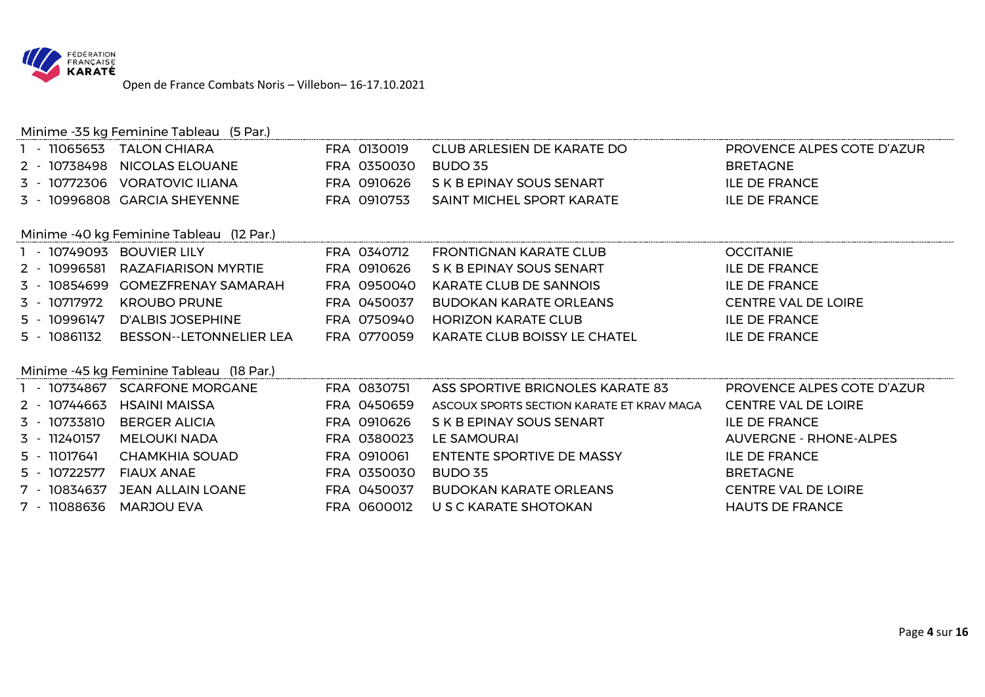

|                           | Minime -35 kg Feminine Tableau (5 Par.)  |             |                                           |                               |
|---------------------------|------------------------------------------|-------------|-------------------------------------------|-------------------------------|
| 1 - 11065653              | <b>TALON CHIARA</b>                      | FRA 0130019 | CLUB ARLESIEN DE KARATE DO                | PROVENCE ALPES COTE D'AZUR    |
|                           | 2 - 10738498 NICOLAS ELOUANE             | FRA 0350030 | <b>BUDO 35</b>                            | <b>BRETAGNE</b>               |
|                           | 3 - 10772306 VORATOVIC ILIANA            | FRA 0910626 | S K B EPINAY SOUS SENART                  | <b>ILE DE FRANCE</b>          |
|                           | 3 - 10996808 GARCIA SHEYENNE             | FRA 0910753 | SAINT MICHEL SPORT KARATE                 | <b>ILE DE FRANCE</b>          |
|                           |                                          |             |                                           |                               |
|                           | Minime -40 kg Feminine Tableau (12 Par.) |             |                                           |                               |
| 1 - 10749093 BOUVIER LILY |                                          | FRA 0340712 | <b>FRONTIGNAN KARATE CLUB</b>             | <b>OCCITANIE</b>              |
| 2 - 10996581              | <b>RAZAFIARISON MYRTIE</b>               | FRA 0910626 | S K B EPINAY SOUS SENART                  | <b>ILE DE FRANCE</b>          |
|                           | 3 - 10854699 GOMEZFRENAY SAMARAH         | FRA 0950040 | <b>KARATE CLUB DE SANNOIS</b>             | <b>ILE DE FRANCE</b>          |
| 3 - 10717972              | <b>KROUBO PRUNE</b>                      | FRA 0450037 | <b>BUDOKAN KARATE ORLEANS</b>             | <b>CENTRE VAL DE LOIRE</b>    |
| 5 - 10996147              | <b>D'ALBIS JOSEPHINE</b>                 | FRA 0750940 | <b>HORIZON KARATE CLUB</b>                | <b>ILE DE FRANCE</b>          |
| 5 - 10861132              | <b>BESSON--LETONNELIER LEA</b>           | FRA 0770059 | KARATE CLUB BOISSY LE CHATEL              | <b>ILE DE FRANCE</b>          |
|                           |                                          |             |                                           |                               |
|                           | Minime -45 kg Feminine Tableau (18 Par.) |             |                                           |                               |
|                           | 1 - 10734867 SCARFONE MORGANE            | FRA 0830751 | ASS SPORTIVE BRIGNOLES KARATE 83          | PROVENCE ALPES COTE D'AZUR    |
| 2 - 10744663              | <b>HSAINI MAISSA</b>                     | FRA 0450659 | ASCOUX SPORTS SECTION KARATE ET KRAV MAGA | <b>CENTRE VAL DE LOIRE</b>    |
| 3 - 10733810              | <b>BERGER ALICIA</b>                     | FRA 0910626 | S K B EPINAY SOUS SENART                  | <b>ILE DE FRANCE</b>          |
| 3 - 11240157              | <b>MELOUKI NADA</b>                      | FRA 0380023 | LE SAMOURAI                               | <b>AUVERGNE - RHONE-ALPES</b> |
| 5 - 11017641              | <b>CHAMKHIA SOUAD</b>                    | FRA 0910061 | ENTENTE SPORTIVE DE MASSY                 | <b>ILE DE FRANCE</b>          |
| 5 - 10722577              | <b>FIAUX ANAE</b>                        | FRA 0350030 | <b>BUDO 35</b>                            | <b>BRETAGNE</b>               |
| 7 - 10834637              | <b>JEAN ALLAIN LOANE</b>                 | FRA 0450037 | <b>BUDOKAN KARATE ORLEANS</b>             | <b>CENTRE VAL DE LOIRE</b>    |
| 7 - 11088636              | <b>MARJOU EVA</b>                        | FRA 0600012 | U S C KARATE SHOTOKAN                     | <b>HAUTS DE FRANCE</b>        |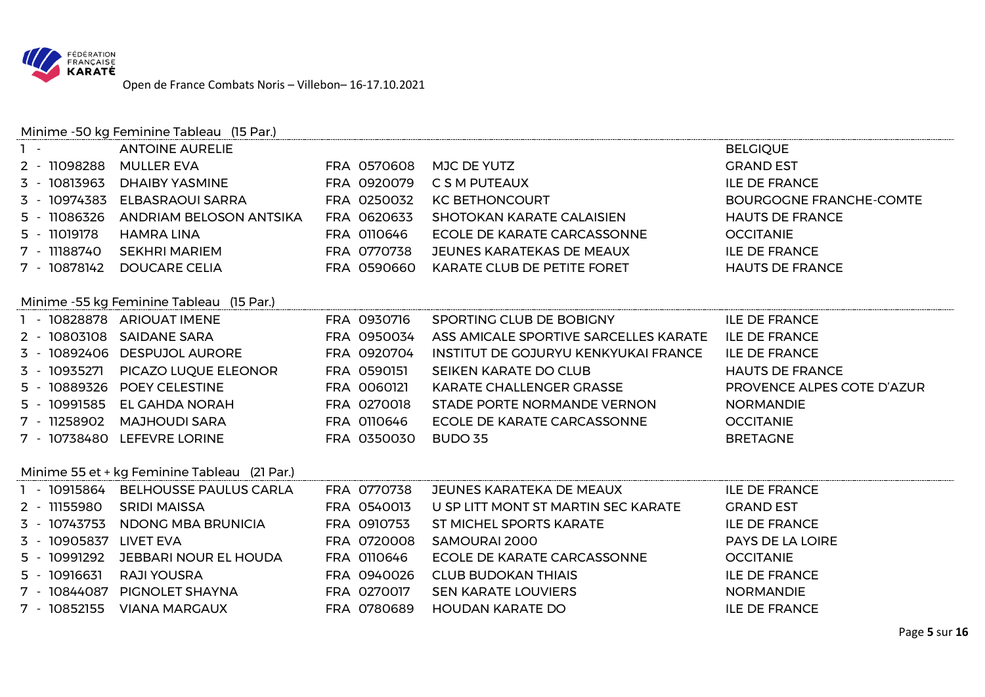

# Minime -50 kg Feminine Tableau (15 Par.)

| $\overline{\phantom{a}}$ | <b>ANTOINE AURELIE</b>                       |             |                                       | <b>BELGIQUE</b>                |
|--------------------------|----------------------------------------------|-------------|---------------------------------------|--------------------------------|
| 2 - 11098288             | <b>MULLER EVA</b>                            | FRA 0570608 | MJC DE YUTZ                           | <b>GRAND EST</b>               |
| 3 - 10813963             | <b>DHAIBY YASMINE</b>                        | FRA 0920079 | C S M PUTEAUX                         | <b>ILE DE FRANCE</b>           |
| 3 - 10974383             | <b>ELBASRAOUI SARRA</b>                      | FRA 0250032 | <b>KC BETHONCOURT</b>                 | <b>BOURGOGNE FRANCHE-COMTE</b> |
| 5 - 11086326             | ANDRIAM BELOSON ANTSIKA                      | FRA 0620633 | SHOTOKAN KARATE CALAISIEN             | <b>HAUTS DE FRANCE</b>         |
| 5 - 11019178             | <b>HAMRA LINA</b>                            | FRA 0110646 | ECOLE DE KARATE CARCASSONNE           | <b>OCCITANIE</b>               |
| 7 - 11188740             | <b>SEKHRI MARIEM</b>                         | FRA 0770738 | JEUNES KARATEKAS DE MEAUX             | <b>ILE DE FRANCE</b>           |
|                          | 7 - 10878142 DOUCARE CELIA                   | FRA 0590660 | KARATE CLUB DE PETITE FORET           | <b>HAUTS DE FRANCE</b>         |
|                          | Minime -55 kg Feminine Tableau (15 Par.)     |             |                                       |                                |
|                          | 1 - 10828878 ARIOUAT IMENE                   | FRA 0930716 | SPORTING CLUB DE BOBIGNY              | <b>ILE DE FRANCE</b>           |
|                          | 2 - 10803108 SAIDANE SARA                    | FRA 0950034 | ASS AMICALE SPORTIVE SARCELLES KARATE | <b>ILE DE FRANCE</b>           |
|                          | 3 - 10892406 DESPUJOL AURORE                 | FRA 0920704 | INSTITUT DE GOJURYU KENKYUKAI FRANCE  | <b>ILE DE FRANCE</b>           |
|                          | 3 - 10935271 PICAZO LUQUE ELEONOR            | FRA 0590151 | SEIKEN KARATE DO CLUB                 | <b>HAUTS DE FRANCE</b>         |
|                          | 5 - 10889326 POEY CELESTINE                  | FRA 0060121 | KARATE CHALLENGER GRASSE              | PROVENCE ALPES COTE D'AZUR     |
|                          | 5 - 10991585 EL GAHDA NORAH                  | FRA 0270018 | STADE PORTE NORMANDE VERNON           | <b>NORMANDIE</b>               |
| 7 - 11258902             | <b>MAJHOUDI SARA</b>                         | FRA 0110646 | ECOLE DE KARATE CARCASSONNE           | <b>OCCITANIE</b>               |
|                          | 7 - 10738480 LEFEVRE LORINE                  | FRA 0350030 | <b>BUDO 35</b>                        | <b>BRETAGNE</b>                |
|                          | Minime 55 et + kg Feminine Tableau (21 Par.) |             |                                       |                                |
|                          | 1 - 10915864 BELHOUSSE PAULUS CARLA          | FRA 0770738 | JEUNES KARATEKA DE MEAUX              | <b>ILE DE FRANCE</b>           |
| 2 - 11155980             | <b>SRIDI MAISSA</b>                          | FRA 0540013 | U SP LITT MONT ST MARTIN SEC KARATE   | <b>GRAND EST</b>               |
| 3 - 10743753             | NDONG MBA BRUNICIA                           | FRA 0910753 | ST MICHEL SPORTS KARATE               | <b>ILE DE FRANCE</b>           |
| 3 - 10905837 LIVET EVA   |                                              | FRA 0720008 | SAMOURAI 2000                         | PAYS DE LA LOIRE               |
| 5 - 10991292             | JEBBARI NOUR EL HOUDA                        | FRA 0110646 | ECOLE DE KARATE CARCASSONNE           | <b>OCCITANIE</b>               |
| 5 - 10916631             | RAJI YOUSRA                                  | FRA 0940026 | <b>CLUB BUDOKAN THIAIS</b>            | <b>ILE DE FRANCE</b>           |
|                          | 7 - 10844087 PIGNOLET SHAYNA                 | FRA 0270017 | <b>SEN KARATE LOUVIERS</b>            | <b>NORMANDIE</b>               |
|                          | 7 - 10852155 VIANA MARGAUX                   | FRA 0780689 | <b>HOUDAN KARATE DO</b>               | <b>ILE DE FRANCE</b>           |
|                          |                                              |             |                                       |                                |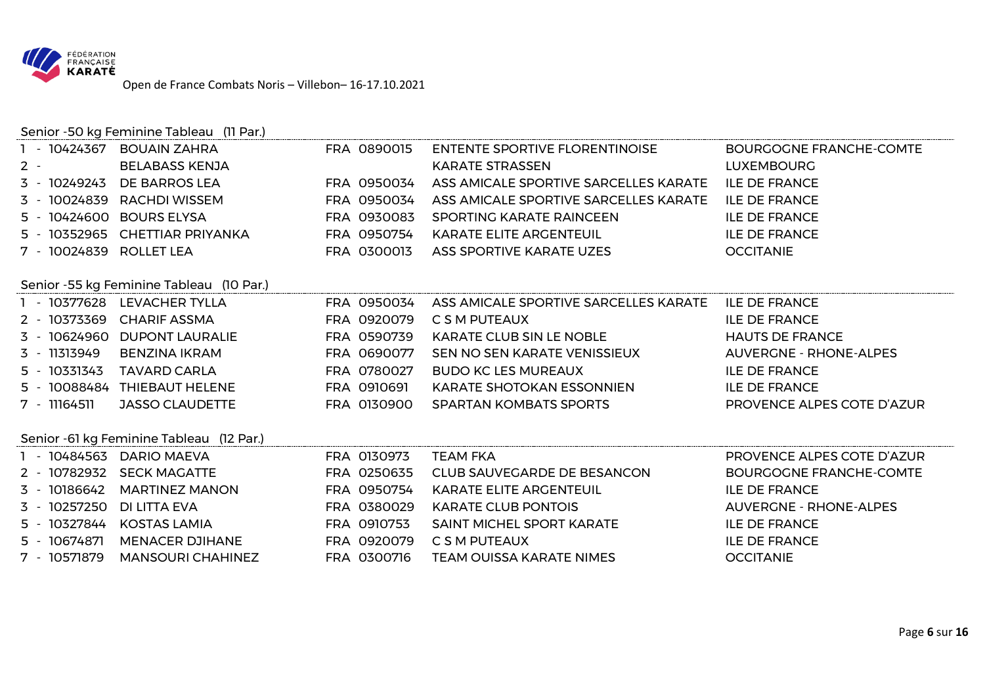

### Senior -50 kg Feminine Tableau (11 Par.)

|                          | - 10424367 BOUAIN ZAHRA                  | FRA 0890015 | <b>ENTENTE SPORTIVE FLORENTINOISE</b> | <b>BOURGOGNE FRANCHE-COMTE</b> |
|--------------------------|------------------------------------------|-------------|---------------------------------------|--------------------------------|
| $2 -$                    | <b>BELABASS KENJA</b>                    |             | <b>KARATE STRASSEN</b>                | <b>LUXEMBOURG</b>              |
| 3 - 10249243             | <b>DE BARROS LEA</b>                     | FRA 0950034 | ASS AMICALE SPORTIVE SARCELLES KARATE | <b>ILE DE FRANCE</b>           |
|                          | 3 - 10024839 RACHDI WISSEM               | FRA 0950034 | ASS AMICALE SPORTIVE SARCELLES KARATE | <b>ILE DE FRANCE</b>           |
| 5 - 10424600 BOURS ELYSA |                                          | FRA 0930083 | SPORTING KARATE RAINCEEN              | <b>ILE DE FRANCE</b>           |
|                          | 5 - 10352965 CHETTIAR PRIYANKA           | FRA 0950754 | <b>KARATE ELITE ARGENTEUIL</b>        | <b>ILE DE FRANCE</b>           |
| 7 - 10024839 ROLLET LEA  |                                          | FRA 0300013 | ASS SPORTIVE KARATE UZES              | <b>OCCITANIE</b>               |
|                          |                                          |             |                                       |                                |
|                          | Senior -55 kg Feminine Tableau (10 Par.) |             |                                       |                                |
|                          | 1 - 10377628 LEVACHER TYLLA              | FRA 0950034 | ASS AMICALE SPORTIVE SARCELLES KARATE | <b>ILE DE FRANCE</b>           |
| 2 - 10373369             | <b>CHARIF ASSMA</b>                      | FRA 0920079 | C S M PUTEAUX                         | <b>ILE DE FRANCE</b>           |
|                          | 3 - 10624960 DUPONT LAURALIE             | FRA 0590739 | <b>KARATE CLUB SIN LE NOBLE</b>       | <b>HAUTS DE FRANCE</b>         |
| 3 - 11313949             | <b>BENZINA IKRAM</b>                     | FRA 0690077 | SEN NO SEN KARATE VENISSIEUX          | <b>AUVERGNE - RHONE-ALPES</b>  |
| 5 - 10331343             | <b>TAVARD CARLA</b>                      | FRA 0780027 | <b>BUDO KC LES MUREAUX</b>            | <b>ILE DE FRANCE</b>           |
|                          | 5 - 10088484 THIEBAUT HELENE             | FRA 0910691 | <b>KARATE SHOTOKAN ESSONNIEN</b>      | <b>ILE DE FRANCE</b>           |
| 7 - 11164511             | <b>JASSO CLAUDETTE</b>                   | FRA 0130900 | <b>SPARTAN KOMBATS SPORTS</b>         | PROVENCE ALPES COTE D'AZUR     |
|                          |                                          |             |                                       |                                |
|                          | Senior -61 kg Feminine Tableau (12 Par.) |             |                                       |                                |
|                          | 1 - 10484563 DARIO MAEVA                 | FRA 0130973 | <b>TEAM FKA</b>                       | PROVENCE ALPES COTE D'AZUR     |
|                          | 2 - 10782932 SECK MAGATTE                | FRA 0250635 | <b>CLUB SAUVEGARDE DE BESANCON</b>    | <b>BOURGOGNE FRANCHE-COMTE</b> |
| 3 - 10186642             | <b>MARTINEZ MANON</b>                    | FRA 0950754 | <b>KARATE ELITE ARGENTEUIL</b>        | <b>ILE DE FRANCE</b>           |
| 3 - 10257250             | DI LITTA EVA                             | FRA 0380029 | <b>KARATE CLUB PONTOIS</b>            | <b>AUVERGNE - RHONE-ALPES</b>  |
| 5 - 10327844             | KOSTAS LAMIA                             | FRA 0910753 | SAINT MICHEL SPORT KARATE             | <b>ILE DE FRANCE</b>           |
| 5 - 10674871             | <b>MENACER DJIHANE</b>                   | FRA 0920079 | C S M PUTEAUX                         | <b>ILE DE FRANCE</b>           |
| 7 - 10571879             | <b>MANSOURI CHAHINEZ</b>                 | FRA 0300716 | <b>TEAM OUISSA KARATE NIMES</b>       | <b>OCCITANIE</b>               |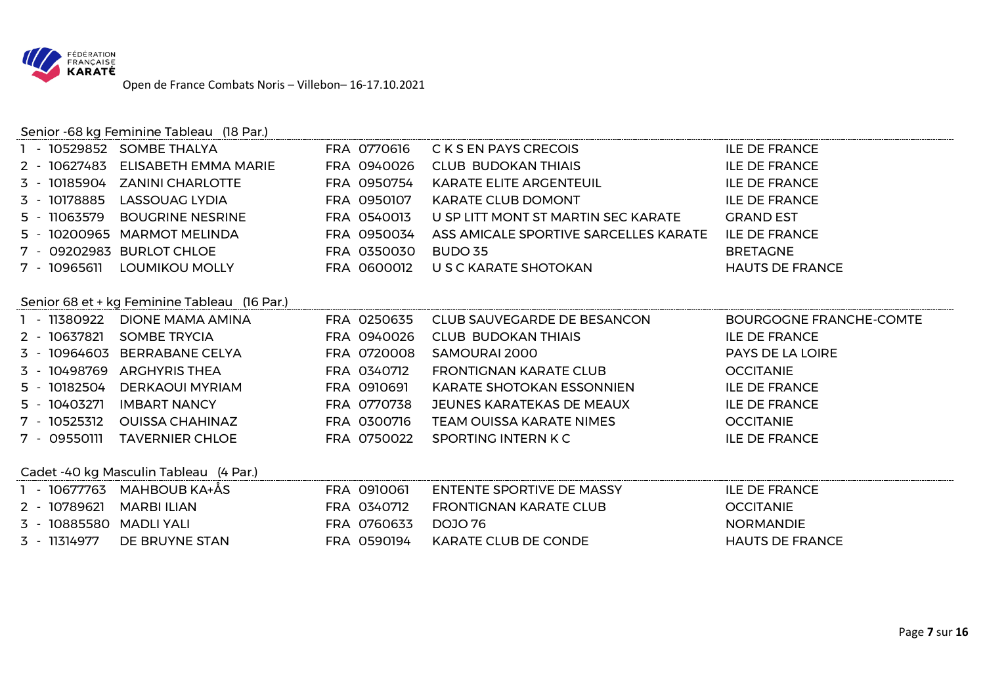

### Senior -68 kg Feminine Tableau (18 Par.)

|              | 1 - 10529852 SOMBE THALYA         | FRA 0770616 | C K S EN PAYS CRECOIS                 | <b>ILE DE FRANCE</b>   |
|--------------|-----------------------------------|-------------|---------------------------------------|------------------------|
|              | 2 - 10627483 ELISABETH EMMA MARIE | FRA 0940026 | CLUB BUDOKAN THIAIS                   | <b>ILE DE FRANCE</b>   |
|              | 3 - 10185904 ZANINI CHARLOTTE     | FRA 0950754 | KARATE ELITE ARGENTEUIL               | <b>ILE DE FRANCE</b>   |
|              | 3 - 10178885 LASSOUAG LYDIA       | FRA 0950107 | KARATE CLUB DOMONT                    | <b>ILE DE FRANCE</b>   |
| 5 - 11063579 | BOUGRINE NESRINE                  | FRA 0540013 | U SP LITT MONT ST MARTIN SEC KARATE   | <b>GRAND EST</b>       |
|              | 5 - 10200965 MARMOT MELINDA       | FRA 0950034 | ASS AMICALE SPORTIVE SARCELLES KARATE | ILE DE FRANCE          |
|              | 7 - 09202983 BURLOT CHLOE         | FRA 0350030 | BUDO 35                               | <b>BRETAGNE</b>        |
| 7 - 10965611 | LOUMIKOU MOLLY                    | FRA 0600012 | U S C KARATE SHOTOKAN                 | <b>HAUTS DE FRANCE</b> |
|              |                                   |             |                                       |                        |

#### Senior 68 et + kg Feminine Tableau (16 Par.)

| - 11380922   | DIONE MAMA AMINA             | FRA 0250635 | CLUB SAUVEGARDE DE BESANCON      | <b>BOURGOGNE FRANCHE-COMTE</b> |
|--------------|------------------------------|-------------|----------------------------------|--------------------------------|
| 2 - 10637821 | SOMBE TRYCIA                 | FRA 0940026 | <b>CLUB BUDOKAN THIAIS</b>       | <b>ILE DE FRANCE</b>           |
|              | 3 - 10964603 BERRABANE CELYA | FRA 0720008 | SAMOURAI 2000                    | <b>PAYS DE LA LOIRE</b>        |
|              | 3 - 10498769 ARGHYRIS THEA   | FRA 0340712 | <b>FRONTIGNAN KARATE CLUB</b>    | <b>OCCITANIE</b>               |
| 5 - 10182504 | DERKAOUI MYRIAM              | FRA 0910691 | <b>KARATE SHOTOKAN ESSONNIEN</b> | <b>ILE DE FRANCE</b>           |
| 5 - 10403271 | <b>IMBART NANCY</b>          | FRA 0770738 | JEUNES KARATEKAS DE MEAUX        | ILE DE FRANCE                  |
| 7 - 10525312 | OUISSA CHAHINAZ              | FRA 0300716 | <b>TEAM OUISSA KARATE NIMES</b>  | <b>OCCITANIE</b>               |
| 7 - 09550111 | <b>TAVERNIER CHLOE</b>       | FRA 0750022 | SPORTING INTERN K C              | <b>ILE DE FRANCE</b>           |

# Cadet -40 kg Masculin Tableau (4 Par.)

|                          | 1 - 10677763 MAHBOUB KA+ÅS | FRA 0910061 | ENTENTE SPORTIVE DE MASSY | <b>ILE DE FRANCE</b>   |
|--------------------------|----------------------------|-------------|---------------------------|------------------------|
| 2 - 10789621 MARBI ILIAN |                            | FRA 0340712 | FRONTIGNAN KARATE CLUB    | <b>OCCITANIE</b>       |
| 3 - 10885580 MADLI YALI  |                            | FRA 0760633 | DOJO 76                   | <b>NORMANDIE</b>       |
| 3 - 11314977             | DE BRUYNE STAN             | FRA 0590194 | KARATE CLUB DE CONDE      | <b>HAUTS DE FRANCE</b> |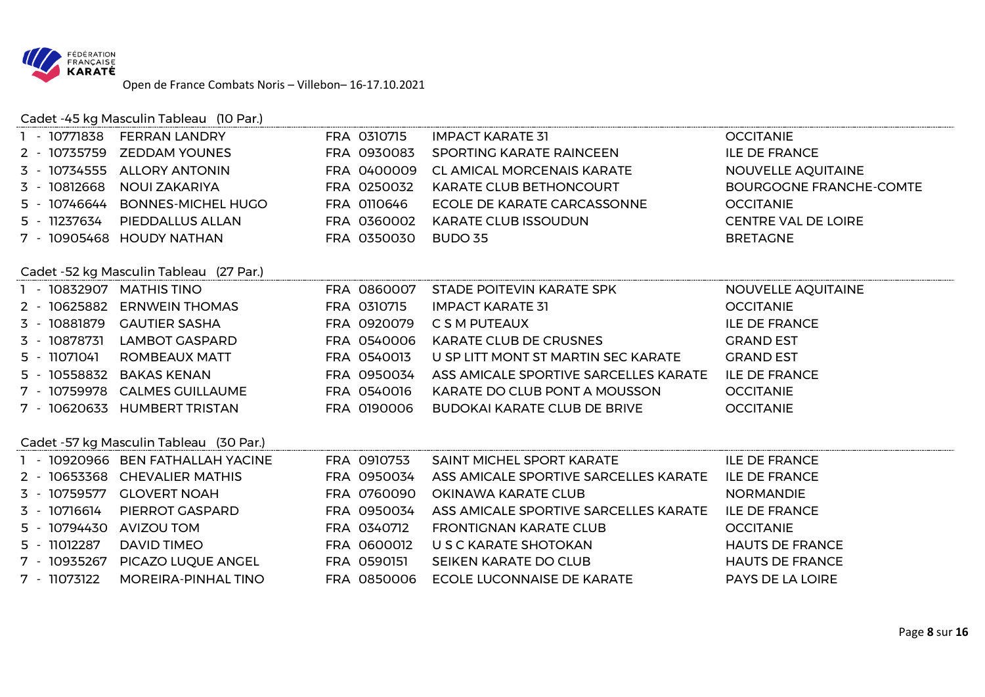

### Cadet -45 kg Masculin Tableau (10 Par.)

| 1 - 10771838             | <b>FERRAN LANDRY</b>                    | FRA 0310715 | <b>IMPACT KARATE 31</b>               | <b>OCCITANIE</b>           |
|--------------------------|-----------------------------------------|-------------|---------------------------------------|----------------------------|
|                          | 2 - 10735759 ZEDDAM YOUNES              | FRA 0930083 | SPORTING KARATE RAINCEEN              | <b>ILE DE FRANCE</b>       |
|                          | 3 - 10734555 ALLORY ANTONIN             | FRA 0400009 | <b>CL AMICAL MORCENAIS KARATE</b>     | <b>NOUVELLE AQUITAINE</b>  |
| 3 - 10812668             | <b>NOUI ZAKARIYA</b>                    | FRA 0250032 | <b>KARATE CLUB BETHONCOURT</b>        | BOURGOGNE FRANCHE-COMTE    |
| 5 - 10746644             | <b>BONNES-MICHEL HUGO</b>               | FRA 0110646 | ECOLE DE KARATE CARCASSONNE           | <b>OCCITANIE</b>           |
| 5 - 11237634             | PIEDDALLUS ALLAN                        | FRA 0360002 | <b>KARATE CLUB ISSOUDUN</b>           | <b>CENTRE VAL DE LOIRE</b> |
|                          | 7 - 10905468 HOUDY NATHAN               | FRA 0350030 | <b>BUDO 35</b>                        | <b>BRETAGNE</b>            |
|                          |                                         |             |                                       |                            |
|                          | Cadet -52 kg Masculin Tableau (27 Par.) |             |                                       |                            |
| 1 - 10832907 MATHIS TINO |                                         | FRA 0860007 | STADE POITEVIN KARATE SPK             | NOUVELLE AQUITAINE         |
|                          | 2 - 10625882 ERNWEIN THOMAS             | FRA 0310715 | <b>IMPACT KARATE 31</b>               | <b>OCCITANIE</b>           |
|                          |                                         | FRA 0920079 | C S M PUTEAUX                         | <b>ILE DE FRANCE</b>       |
| 3 - 10878731             | <b>LAMBOT GASPARD</b>                   | FRA 0540006 | <b>KARATE CLUB DE CRUSNES</b>         | <b>GRAND EST</b>           |
| 5 - 11071041             | <b>ROMBEAUX MATT</b>                    | FRA 0540013 | U SP LITT MONT ST MARTIN SEC KARATE   | <b>GRAND EST</b>           |
|                          | 5 - 10558832 BAKAS KENAN                | FRA 0950034 | ASS AMICALE SPORTIVE SARCELLES KARATE | <b>ILE DE FRANCE</b>       |
|                          | 7 - 10759978 CALMES GUILLAUME           | FRA 0540016 | KARATE DO CLUB PONT A MOUSSON         | <b>OCCITANIE</b>           |
|                          | 7 - 10620633 HUMBERT TRISTAN            | FRA 0190006 | <b>BUDOKAI KARATE CLUB DE BRIVE</b>   | <b>OCCITANIE</b>           |
|                          |                                         |             |                                       |                            |
|                          | Cadet -57 kg Masculin Tableau (30 Par.) |             |                                       |                            |
|                          | 1 - 10920966 BEN FATHALLAH YACINE       | FRA 0910753 | SAINT MICHEL SPORT KARATE             | <b>ILE DE FRANCE</b>       |
|                          | 2 - 10653368 CHEVALIER MATHIS           | FRA 0950034 | ASS AMICALE SPORTIVE SARCELLES KARATE | <b>ILE DE FRANCE</b>       |
|                          | 3 - 10759577 GLOVERT NOAH               | FRA 0760090 | OKINAWA KARATE CLUB                   | <b>NORMANDIE</b>           |
| 3 - 10716614             | PIERROT GASPARD                         | FRA 0950034 | ASS AMICALE SPORTIVE SARCELLES KARATE | <b>ILE DE FRANCE</b>       |
| 5 - 10794430 AVIZOU TOM  |                                         | FRA 0340712 | <b>FRONTIGNAN KARATE CLUB</b>         | <b>OCCITANIE</b>           |
| 5 - 11012287             | <b>DAVID TIMEO</b>                      | FRA 0600012 | U S C KARATE SHOTOKAN                 | <b>HAUTS DE FRANCE</b>     |
| 7 - 10935267             | PICAZO LUQUE ANGEL                      | FRA 0590151 | SEIKEN KARATE DO CLUB                 | <b>HAUTS DE FRANCE</b>     |
| 7 - 11073122             | <b>MOREIRA-PINHAL TINO</b>              | FRA 0850006 | ECOLE LUCONNAISE DE KARATE            | PAYS DE LA LOIRE           |
|                          |                                         |             |                                       |                            |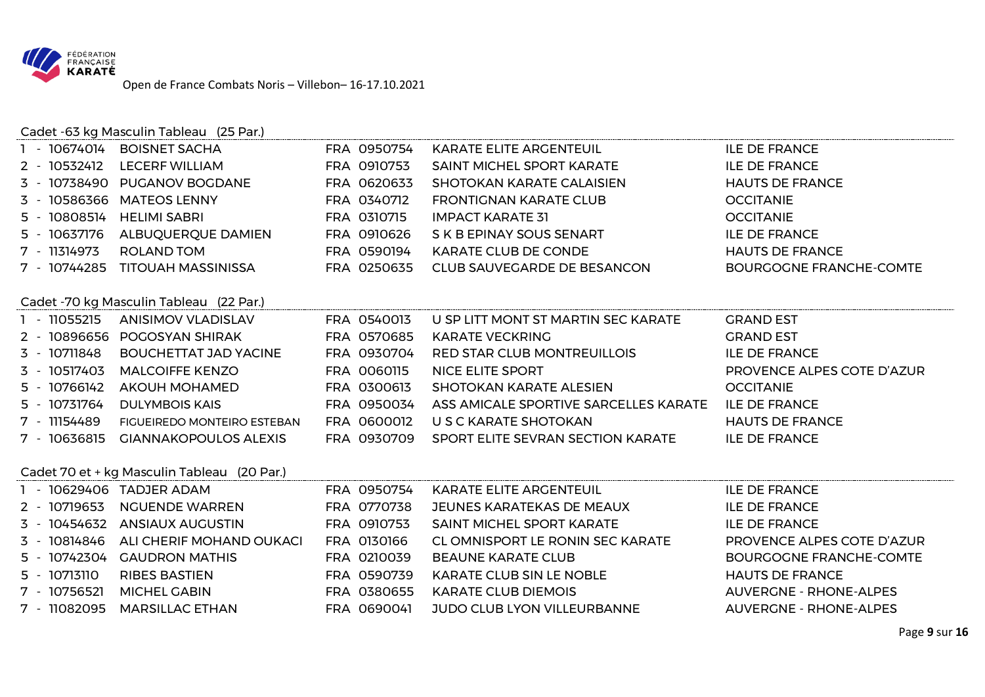

### Cadet -63 kg Masculin Tableau (25 Par.)

| 1 - 10674014 | <b>BOISNET SACHA</b>                    | FRA 0950754 | <b>KARATE ELITE ARGENTEUIL</b>        | <b>ILE DE FRANCE</b>           |
|--------------|-----------------------------------------|-------------|---------------------------------------|--------------------------------|
| 2 - 10532412 | LECERF WILLIAM                          | FRA 0910753 | <b>SAINT MICHEL SPORT KARATE</b>      | <b>ILE DE FRANCE</b>           |
|              | 3 - 10738490 PUGANOV BOGDANE            | FRA 0620633 | SHOTOKAN KARATE CALAISIEN             | <b>HAUTS DE FRANCE</b>         |
|              | 3 - 10586366 MATEOS LENNY               | FRA 0340712 | <b>FRONTIGNAN KARATE CLUB</b>         | <b>OCCITANIE</b>               |
| 5 - 10808514 | HELIMI SABRI                            | FRA 0310715 | <b>IMPACT KARATE 31</b>               | <b>OCCITANIE</b>               |
| 5 - 10637176 | ALBUQUERQUE DAMIEN                      | FRA 0910626 | S K B EPINAY SOUS SENART              | <b>ILE DE FRANCE</b>           |
| 7 - 11314973 | ROLAND TOM                              | FRA 0590194 | KARATE CLUB DE CONDE                  | <b>HAUTS DE FRANCE</b>         |
| 7 - 10744285 | TITOUAH MASSINISSA                      | FRA 0250635 | CLUB SAUVEGARDE DE BESANCON           | <b>BOURGOGNE FRANCHE-COMTE</b> |
|              |                                         |             |                                       |                                |
|              | Cadet -70 kg Masculin Tableau (22 Par.) |             |                                       |                                |
| 1 - 11055215 | <b>ANISIMOV VLADISLAV</b>               | FRA 0540013 | U SP LITT MONT ST MARTIN SEC KARATE   | <b>GRAND EST</b>               |
|              | 2 - 10896656 POGOSYAN SHIRAK            | FRA 0570685 | KARATE VECKRING                       | <b>GRAND EST</b>               |
| 3 - 10711848 | BOUCHETTAT JAD YACINE                   | FRA 0930704 | RED STAR CLUB MONTREUILLOIS           | <b>ILE DE FRANCE</b>           |
| 3 - 10517403 | <b>MALCOIFFE KENZO</b>                  | FRA 0060115 | <b>NICE ELITE SPORT</b>               | PROVENCE ALPES COTE D'AZUR     |
| 5 - 10766142 | AKOUH MOHAMED                           | FRA 0300613 | SHOTOKAN KARATE ALESIEN               | <b>OCCITANIE</b>               |
| 5 - 10731764 | <b>DULYMBOIS KAIS</b>                   | FRA 0950034 | ASS AMICALE SPORTIVE SARCELLES KARATE | <b>ILE DE FRANCE</b>           |
| 7 - 11154489 | FIGUEIREDO MONTEIRO ESTEBAN             | FRA 0600012 | U S C KARATE SHOTOKAN                 | <b>HAUTS DE FRANCE</b>         |
| 7 - 10636815 | <b>GIANNAKOPOULOS ALEXIS</b>            | FRA 0930709 | SPORT ELITE SEVRAN SECTION KARATE     | <b>ILE DE FRANCE</b>           |
|              |                                         |             |                                       |                                |

### Cadet 70 et + kg Masculin Tableau (20 Par.)

|              | 1 - 10629406 TADJER ADAM              | FRA 0950754 | <b>KARATE ELITE ARGENTEUIL</b>   | <b>ILE DE FRANCE</b>           |
|--------------|---------------------------------------|-------------|----------------------------------|--------------------------------|
| 2 - 10719653 | NGUENDE WARREN                        | FRA 0770738 | JEUNES KARATEKAS DE MEAUX        | <b>ILE DE FRANCE</b>           |
|              | 3 - 10454632 ANSIAUX AUGUSTIN         | FRA 0910753 | <b>SAINT MICHEL SPORT KARATE</b> | ILE DE FRANCE                  |
|              | 3 - 10814846 ALI CHERIF MOHAND OUKACI | FRA 0130166 | CL OMNISPORT LE RONIN SEC KARATE | PROVENCE ALPES COTE D'AZUR     |
|              |                                       | FRA 0210039 | BEAUNE KARATE CLUB               | <b>BOURGOGNE FRANCHE-COMTE</b> |
| 5 - 10713110 | RIBES BASTIEN                         | FRA 0590739 | <b>KARATE CLUB SIN LE NOBLE</b>  | <b>HAUTS DE FRANCE</b>         |
| 7 - 10756521 | MICHEL GABIN                          | FRA 0380655 | <b>KARATE CLUB DIEMOIS</b>       | <b>AUVERGNE - RHONE-ALPES</b>  |
| 7 - 11082095 | MARSILLAC ETHAN                       | FRA 0690041 | JUDO CLUB LYON VILLEURBANNE      | <b>AUVERGNE - RHONE-ALPES</b>  |

Page **9** sur **16**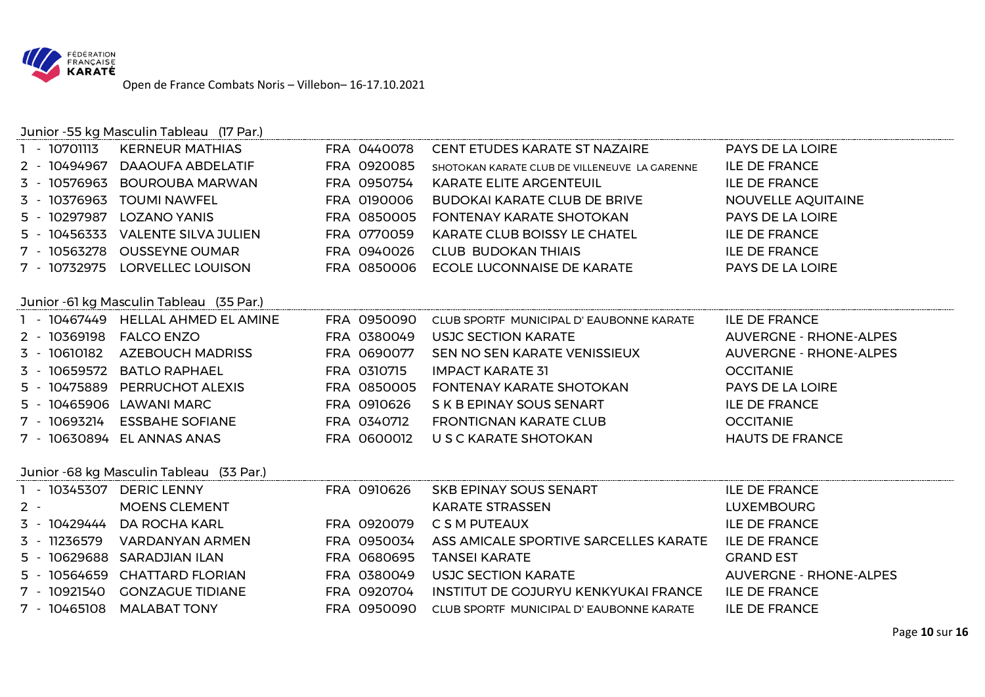

### Junior -55 kg Masculin Tableau (17 Par.)

| - 10701113                 | <b>KERNEUR MATHIAS</b>                   | FRA 0440078 | <b>CENT ETUDES KARATE ST NAZAIRE</b>          | PAYS DE LA LOIRE              |
|----------------------------|------------------------------------------|-------------|-----------------------------------------------|-------------------------------|
| 2 - 10494967               | <b>DAAOUFA ABDELATIF</b>                 | FRA 0920085 | SHOTOKAN KARATE CLUB DE VILLENEUVE LA GARENNE | <b>ILE DE FRANCE</b>          |
| 3 - 10576963               | <b>BOUROUBA MARWAN</b>                   | FRA 0950754 | <b>KARATE ELITE ARGENTEUIL</b>                | <b>ILE DE FRANCE</b>          |
|                            | 3 - 10376963 TOUMI NAWFEL                | FRA 0190006 | BUDOKAI KARATE CLUB DE BRIVE                  | <b>NOUVELLE AQUITAINE</b>     |
|                            | 5 - 10297987 LOZANO YANIS                | FRA 0850005 | FONTENAY KARATE SHOTOKAN                      | PAYS DE LA LOIRE              |
|                            | 5 - 10456333 VALENTE SILVA JULIEN        | FRA 0770059 | KARATE CLUB BOISSY LE CHATEL                  | <b>ILE DE FRANCE</b>          |
|                            | 7 - 10563278 OUSSEYNE OUMAR              | FRA 0940026 | <b>CLUB BUDOKAN THIAIS</b>                    | <b>ILE DE FRANCE</b>          |
|                            | 7 - 10732975 LORVELLEC LOUISON           | FRA 0850006 | ECOLE LUCONNAISE DE KARATE                    | <b>PAYS DE LA LOIRE</b>       |
|                            | Junior -61 kg Masculin Tableau (35 Par.) |             |                                               |                               |
|                            | 1 - 10467449 HELLAL AHMED EL AMINE       | FRA 0950090 | CLUB SPORTF MUNICIPAL D'EAUBONNE KARATE       | <b>ILE DE FRANCE</b>          |
| 2 - 10369198    FALCO ENZO |                                          | FRA 0380049 | <b>USJC SECTION KARATE</b>                    | <b>AUVERGNE - RHONE-ALPES</b> |
|                            | 3 - 10610182 AZEBOUCH MADRISS            | FRA 0690077 | SEN NO SEN KARATE VENISSIEUX                  | <b>AUVERGNE - RHONE-ALPES</b> |
|                            | 3 - 10659572 BATLO RAPHAEL               | FRA 0310715 | <b>IMPACT KARATE 31</b>                       | <b>OCCITANIE</b>              |
|                            | 5 - 10475889 PERRUCHOT ALEXIS            | FRA 0850005 | FONTENAY KARATE SHOTOKAN                      | <b>PAYS DE LA LOIRE</b>       |
|                            | 5 - 10465906 LAWANI MARC                 | FRA 0910626 | S K B EPINAY SOUS SENART                      | <b>ILE DE FRANCE</b>          |
| 7 - 10693214               | <b>ESSBAHE SOFIANE</b>                   | FRA 0340712 | <b>FRONTIGNAN KARATE CLUB</b>                 | <b>OCCITANIE</b>              |
|                            | 7 - 10630894 EL ANNAS ANAS               | FRA 0600012 | U S C KARATE SHOTOKAN                         | <b>HAUTS DE FRANCE</b>        |
|                            | Junior -68 kg Masculin Tableau (33 Par.) |             |                                               |                               |
| 1 - 10345307 DERIC LENNY   |                                          | FRA 0910626 | SKB EPINAY SOUS SENART                        | <b>ILE DE FRANCE</b>          |
| $2 -$                      | <b>MOENS CLEMENT</b>                     |             | <b>KARATE STRASSEN</b>                        | <b>LUXEMBOURG</b>             |
|                            | 3 - 10429444 DA ROCHA KARL               | FRA 0920079 | C S M PUTEAUX                                 | <b>ILE DE FRANCE</b>          |
|                            | 3 - 11236579 VARDANYAN ARMEN             | FRA 0950034 | ASS AMICALE SPORTIVE SARCELLES KARATE         | <b>ILE DE FRANCE</b>          |
|                            | 5 - 10629688 SARADJIAN ILAN              | FRA 0680695 | <b>TANSEI KARATE</b>                          | <b>GRAND EST</b>              |
|                            | 5 - 10564659 CHATTARD FLORIAN            | FRA 0380049 | <b>USJC SECTION KARATE</b>                    | <b>AUVERGNE - RHONE-ALPES</b> |
|                            | 7 - 10921540 GONZAGUE TIDIANE            | FRA 0920704 | INSTITUT DE GOJURYU KENKYUKAI FRANCE          | <b>ILE DE FRANCE</b>          |
| 7 - 10465108               | <b>MALABAT TONY</b>                      | FRA 0950090 | CLUB SPORTF MUNICIPAL D'EAUBONNE KARATE       | <b>ILE DE FRANCE</b>          |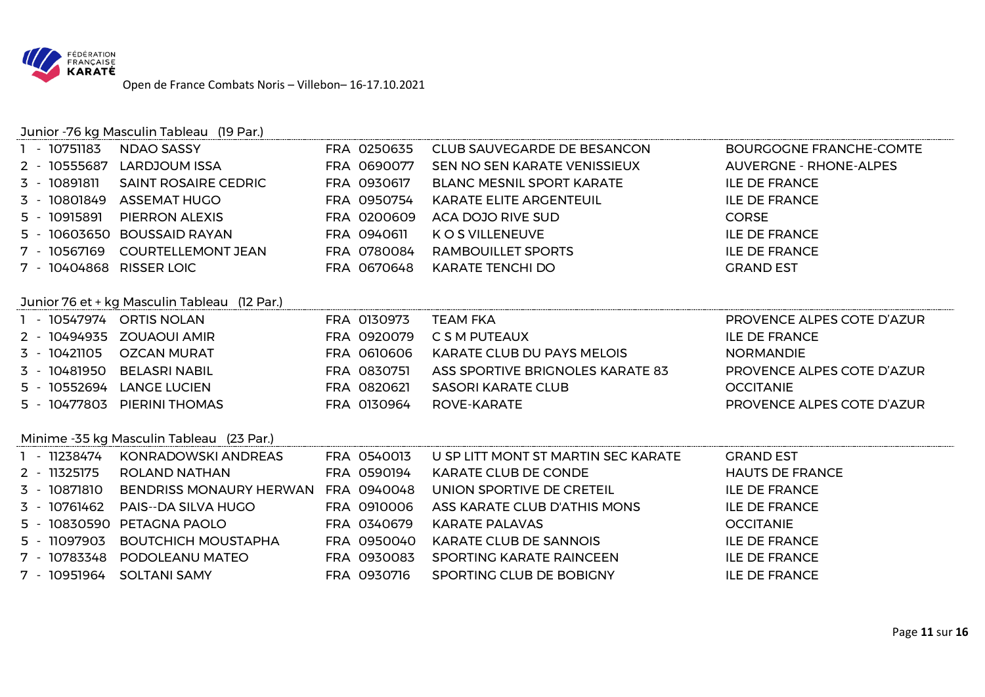

### Junior -76 kg Masculin Tableau (19 Par.)

| 1 - 10751183             | NDAO SASSY                  | FRA 0250635 | CLUB SAUVEGARDE DE BESANCON      | BOURGOGNE FRANCHE-COMTE |
|--------------------------|-----------------------------|-------------|----------------------------------|-------------------------|
| 2 - 10555687             | LARDJOUM ISSA               | FRA 0690077 | SEN NO SEN KARATE VENISSIEUX     | AUVERGNE - RHONE-ALPES  |
| 3 - 10891811             | <b>SAINT ROSAIRE CEDRIC</b> | FRA 0930617 | <b>BLANC MESNIL SPORT KARATE</b> | <b>ILE DE FRANCE</b>    |
| 3 - 10801849             | ASSEMAT HUGO                | FRA 0950754 | KARATE ELITE ARGENTEUIL          | <b>ILE DE FRANCE</b>    |
| 5 - 10915891             | <b>PIERRON ALEXIS</b>       | FRA 0200609 | ACA DOJO RIVE SUD                | <b>CORSE</b>            |
|                          | 5 - 10603650 BOUSSAID RAYAN | FRA 0940611 | K O S VILLENEUVE                 | <b>ILE DE FRANCE</b>    |
| 7 - 10567169             | COURTELLEMONT JEAN          | FRA 0780084 | RAMBOUILLET SPORTS               | <b>ILE DE FRANCE</b>    |
| 7 - 10404868 RISSER LOIC |                             | FRA 0670648 | KARATE TENCHI DO                 | <b>GRAND EST</b>        |

#### Junior 76 et + kg Masculin Tableau (12 Par.)

| 1 - 10547974 ORTIS NOLAN |                             | FRA 0130973 | TEAM FKA                         | PROVENCE ALPES COTE D'AZUR |
|--------------------------|-----------------------------|-------------|----------------------------------|----------------------------|
|                          | 2 - 10494935 ZOUAOUI AMIR   | FRA 0920079 | C S M PUTEAUX                    | ILE DE FRANCE              |
| 3 - 10421105             | OZCAN MURAT                 | FRA 0610606 | KARATE CLUB DU PAYS MELOIS       | <b>NORMANDIE</b>           |
| 3 - 10481950             | BELASRI NABIL               | FRA 0830751 | ASS SPORTIVE BRIGNOLES KARATE 83 | PROVENCE ALPES COTE D'AZUR |
|                          | 5 - 10552694 LANGE LUCIEN   | FRA 0820621 | SASORI KARATE CLUB               | <b>OCCITANIE</b>           |
|                          | 5 - 10477803 PIERINI THOMAS | FRA 0130964 | ROVE-KARATE                      | PROVENCE ALPES COTE D'AZUR |

#### Minime -35 kg Masculin Tableau (23 Par.)

| 1 - 11238474 | KONRADOWSKI ANDREAS                 | FRA 0540013 | U SP LITT MONT ST MARTIN SEC KARATE | <b>GRAND EST</b>       |
|--------------|-------------------------------------|-------------|-------------------------------------|------------------------|
| 2 - 11325175 | ROLAND NATHAN                       | FRA 0590194 | KARATE CLUB DE CONDE                | <b>HAUTS DE FRANCE</b> |
| 3 - 10871810 | BENDRISS MONAURY HERWAN FRA 0940048 |             | UNION SPORTIVE DE CRETEIL           | ILE DE FRANCE          |
| 3 - 10761462 | PAIS--DA SILVA HUGO                 | FRA 0910006 | ASS KARATE CLUB D'ATHIS MONS        | <b>ILE DE FRANCE</b>   |
|              | 5 - 10830590 PETAGNA PAOLO          | FRA 0340679 | KARATE PALAVAS                      | <b>OCCITANIE</b>       |
|              | 5 - 11097903 BOUTCHICH MOUSTAPHA    | FRA 0950040 | KARATE CLUB DE SANNOIS              | ILE DE FRANCE          |
|              | 7 - 10783348 PODOLEANU MATEO        | FRA 0930083 | SPORTING KARATE RAINCEEN            | ILE DE FRANCE          |
| 7 - 10951964 | SOLTANI SAMY                        | FRA 0930716 | SPORTING CLUB DE BOBIGNY            | <b>ILE DE FRANCE</b>   |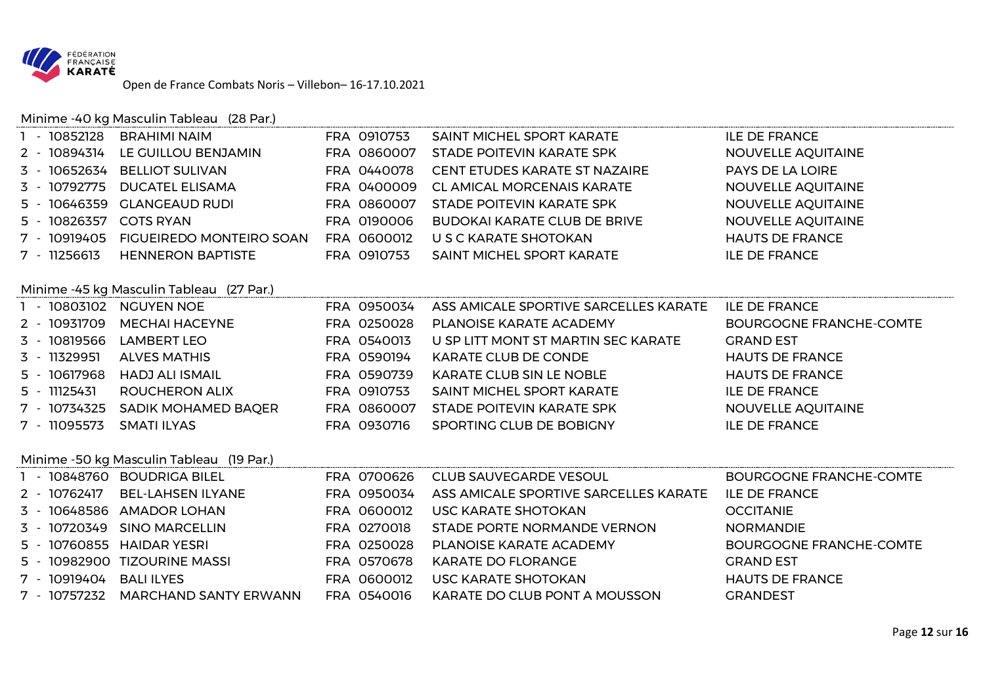

### Minime -40 kg Masculin Tableau (28 Par.)

| 10852128                 | <b>BRAHIMI NAIM</b>                      | FRA 0910753 | <b>SAINT MICHEL SPORT KARATE</b>                    | <b>ILE DE FRANCE</b>           |
|--------------------------|------------------------------------------|-------------|-----------------------------------------------------|--------------------------------|
|                          | 2 - 10894314 LE GUILLOU BENJAMIN         | FRA 0860007 | STADE POITEVIN KARATE SPK                           | <b>NOUVELLE AQUITAINE</b>      |
|                          | 3 - 10652634 BELLIOT SULIVAN             | FRA 0440078 | <b>CENT ETUDES KARATE ST NAZAIRE</b>                | <b>PAYS DE LA LOIRE</b>        |
|                          | 3 - 10792775 DUCATEL ELISAMA             | FRA 0400009 | <b>CL AMICAL MORCENAIS KARATE</b>                   | NOUVELLE AQUITAINE             |
|                          | 5 - 10646359 CLANGEAUD RUDI              | FRA 0860007 | STADE POITEVIN KARATE SPK                           | NOUVELLE AQUITAINE             |
| 5 - 10826357             | <b>COTS RYAN</b>                         | FRA 0190006 | <b>BUDOKAI KARATE CLUB DE BRIVE</b>                 | NOUVELLE AQUITAINE             |
|                          | 7 - 10919405 FIGUEIREDO MONTEIRO SOAN    | FRA 0600012 | U S C KARATE SHOTOKAN                               | <b>HAUTS DE FRANCE</b>         |
| 7 - 11256613             | <b>HENNERON BAPTISTE</b>                 | FRA 0910753 | SAINT MICHEL SPORT KARATE                           | <b>ILE DE FRANCE</b>           |
|                          | Minime -45 kg Masculin Tableau (27 Par.) |             |                                                     |                                |
| 1 - 10803102 NGUYEN NOE  |                                          | FRA 0950034 | ASS AMICALE SPORTIVE SARCELLES KARATE ILE DE FRANCE |                                |
|                          | 2 - 10931709 MECHAI HACEYNE              | FRA 0250028 | <b>PLANOISE KARATE ACADEMY</b>                      | <b>BOURGOGNE FRANCHE-COMTE</b> |
| 3 - 10819566 LAMBERT LEO |                                          | FRA 0540013 | U SP LITT MONT ST MARTIN SEC KARATE                 | <b>GRAND EST</b>               |
| 3 - 11329951             | <b>ALVES MATHIS</b>                      | FRA 0590194 | <b>KARATE CLUB DE CONDE</b>                         | <b>HAUTS DE FRANCE</b>         |
| 5 - 10617968             | <b>HADJ ALI ISMAIL</b>                   | FRA 0590739 | <b>KARATE CLUB SIN LE NOBLE</b>                     | <b>HAUTS DE FRANCE</b>         |
| 5 - 11125431             | <b>ROUCHERON ALIX</b>                    | FRA 0910753 | <b>SAINT MICHEL SPORT KARATE</b>                    | <b>ILE DE FRANCE</b>           |
|                          | 7 - 10734325 SADIK MOHAMED BAQER         | FRA 0860007 | STADE POITEVIN KARATE SPK                           | <b>NOUVELLE AQUITAINE</b>      |
| 7 - 11095573 SMATI ILYAS |                                          | FRA 0930716 | SPORTING CLUB DE BOBIGNY                            | <b>ILE DE FRANCE</b>           |
|                          | Minime -50 kg Masculin Tableau (19 Par.) |             |                                                     |                                |
|                          | 1 - 10848760 BOUDRIGA BILEL              | FRA 0700626 | <b>CLUB SAUVEGARDE VESOUL</b>                       | <b>BOURGOGNE FRANCHE-COMTE</b> |
|                          | 2 - 10762417 BEL-LAHSEN ILYANE           | FRA 0950034 | ASS AMICALE SPORTIVE SARCELLES KARATE               | <b>ILE DE FRANCE</b>           |
|                          | 3 - 10648586 AMADOR LOHAN                | FRA 0600012 | <b>USC KARATE SHOTOKAN</b>                          | <b>OCCITANIE</b>               |
|                          | 3 - 10720349 SINO MARCELLIN              | FRA 0270018 | STADE PORTE NORMANDE VERNON                         | <b>NORMANDIE</b>               |
|                          | 5 - 10760855 HAIDAR YESRI                | FRA 0250028 | PLANOISE KARATE ACADEMY                             | <b>BOURGOGNE FRANCHE-COMTE</b> |
|                          | 5 - 10982900 TIZOURINE MASSI             | FRA 0570678 | <b>KARATE DO FLORANGE</b>                           | <b>GRAND EST</b>               |
| 7 - 10919404 BALI ILYES  |                                          | FRA 0600012 | <b>USC KARATE SHOTOKAN</b>                          | <b>HAUTS DE FRANCE</b>         |
|                          | 7 - 10757232 MARCHAND SANTY ERWANN       | FRA 0540016 | KARATE DO CLUB PONT A MOUSSON                       | <b>GRANDEST</b>                |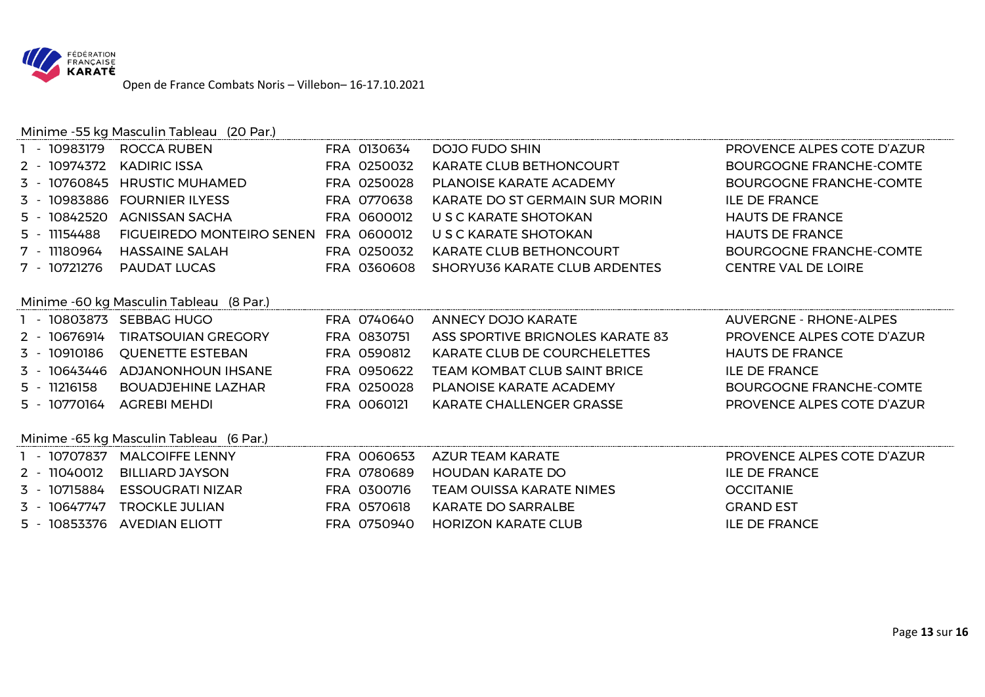

### Minime -55 kg Masculin Tableau (20 Par.)

| 1 - 10983179 | ROCCA RUBEN                             | FRA 0130634 | <b>DOJO FUDO SHIN</b>                | PROVENCE ALPES COTE D'AZUR     |
|--------------|-----------------------------------------|-------------|--------------------------------------|--------------------------------|
| 2 - 10974372 | <b>KADIRIC ISSA</b>                     | FRA 0250032 | <b>KARATE CLUB BETHONCOURT</b>       | <b>BOURGOGNE FRANCHE-COMTE</b> |
| 3 - 10760845 | <b>HRUSTIC MUHAMED</b>                  | FRA 0250028 | <b>PLANOISE KARATE ACADEMY</b>       | <b>BOURGOGNE FRANCHE-COMTE</b> |
|              | 3 - 10983886 FOURNIER ILYESS            | FRA 0770638 | KARATE DO ST GERMAIN SUR MORIN       | <b>ILE DE FRANCE</b>           |
| 5 - 10842520 | <b>AGNISSAN SACHA</b>                   | FRA 0600012 | U S C KARATE SHOTOKAN                | <b>HAUTS DE FRANCE</b>         |
| 5 - 11154488 | <b>FIGUEIREDO MONTEIRO SENEN</b>        | FRA 0600012 | U S C KARATE SHOTOKAN                | <b>HAUTS DE FRANCE</b>         |
| 7 - 11180964 | <b>HASSAINE SALAH</b>                   | FRA 0250032 | <b>KARATE CLUB BETHONCOURT</b>       | <b>BOURGOGNE FRANCHE-COMTE</b> |
| 7 - 10721276 | <b>PAUDAT LUCAS</b>                     | FRA 0360608 | <b>SHORYU36 KARATE CLUB ARDENTES</b> | <b>CENTRE VAL DE LOIRE</b>     |
|              |                                         |             |                                      |                                |
|              | Minime -60 kg Masculin Tableau (8 Par.) |             |                                      |                                |
|              | 1 - 10803873 SEBBAG HUGO                | FRA 0740640 | <b>ANNECY DOJO KARATE</b>            | <b>AUVERGNE - RHONE-ALPES</b>  |
| 2 - 10676914 | <b>TIRATSOUIAN GREGORY</b>              | FRA 0830751 | ASS SPORTIVE BRIGNOLES KARATE 83     | PROVENCE ALPES COTE D'AZUR     |
| 3 - 10910186 | <b>QUENETTE ESTEBAN</b>                 | FRA 0590812 | <b>KARATE CLUB DE COURCHELETTES</b>  | <b>HAUTS DE FRANCE</b>         |
| 3 - 10643446 | <b>ADJANONHOUN IHSANE</b>               | FRA 0950622 | <b>TEAM KOMBAT CLUB SAINT BRICE</b>  | <b>ILE DE FRANCE</b>           |
| 5 - 11216158 | <b>BOUADJEHINE LAZHAR</b>               | FRA 0250028 | <b>PLANOISE KARATE ACADEMY</b>       | <b>BOURGOGNE FRANCHE-COMTE</b> |
| 5 - 10770164 | <b>AGREBI MEHDI</b>                     | FRA 0060121 | <b>KARATE CHALLENGER GRASSE</b>      | PROVENCE ALPES COTE D'AZUR     |
|              |                                         |             |                                      |                                |
|              | Minime -65 kg Masculin Tableau (6 Par.) |             |                                      |                                |
| 1 - 10707837 | <b>MALCOIFFE LENNY</b>                  | FRA 0060653 | AZUR TEAM KARATE                     | PROVENCE ALPES COTE D'AZUR     |
| 2 - 11040012 | <b>BILLIARD JAYSON</b>                  | FRA 0780689 | <b>HOUDAN KARATE DO</b>              | <b>ILE DE FRANCE</b>           |
| 3 - 10715884 | <b>ESSOUGRATI NIZAR</b>                 | FRA 0300716 | <b>TEAM OUISSA KARATE NIMES</b>      | <b>OCCITANIE</b>               |
| 3 - 10647747 | <b>TROCKLE JULIAN</b>                   | FRA 0570618 | <b>KARATE DO SARRALBE</b>            | <b>GRAND EST</b>               |
|              | 5 - 10853376 AVEDIAN ELIOTT             | FRA 0750940 | <b>HORIZON KARATE CLUB</b>           | <b>ILE DE FRANCE</b>           |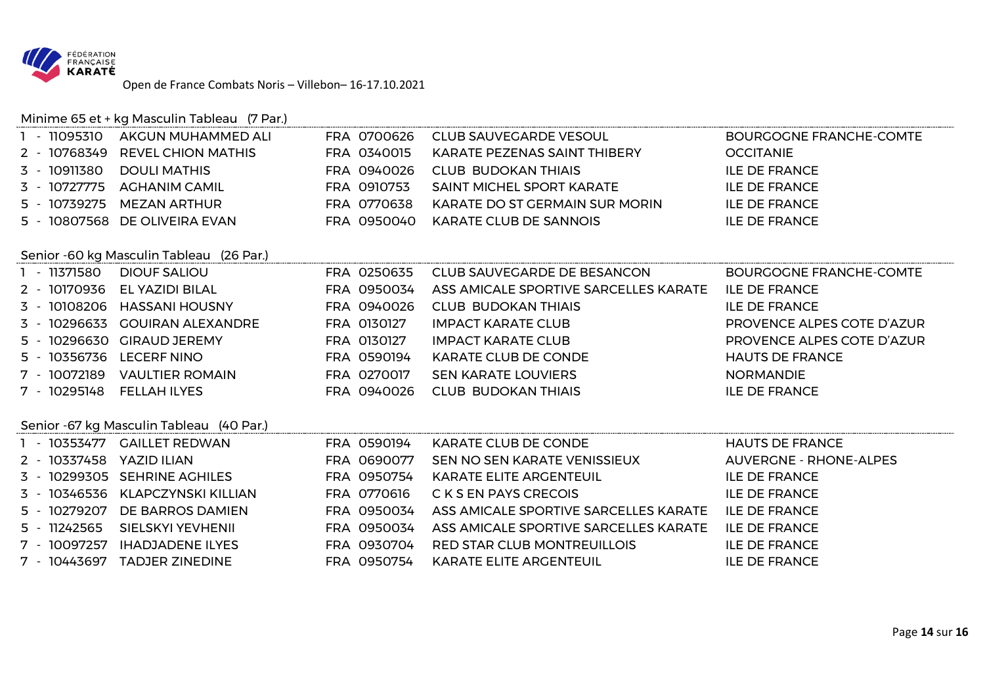

#### Minime 65 et + kg Masculin Tableau (7 Par.)

|              | 1 - 11095310 AKGUN MUHAMMED ALI |             | FRA 0700626 CLUB SAUVEGARDE VESOUL | BOURGOGNE FRANCHE-COMTE |
|--------------|---------------------------------|-------------|------------------------------------|-------------------------|
|              | 2 - 10768349 REVEL CHION MATHIS | FRA 0340015 | KARATE PEZENAS SAINT THIBERY       | <b>OCCITANIE</b>        |
| 3 - 10911380 | DOULI MATHIS                    |             | FRA 0940026 CLUB BUDOKAN THIAIS    | ILE DE FRANCE           |
|              | 3 - 10727775 AGHANIM CAMIL      | FRA 0910753 | SAINT MICHEL SPORT KARATE          | ILE DE FRANCE           |
|              | 5 - 10739275 MEZAN ARTHUR       | FRA 0770638 | KARATE DO ST GERMAIN SUR MORIN     | <b>ILE DE FRANCE</b>    |
|              | 5 - 10807568 DE OLIVEIRA EVAN   | FRA 0950040 | KARATE CLUB DE SANNOIS             | <b>ILE DE FRANCE</b>    |
|              |                                 |             |                                    |                         |

#### Senior -60 kg Masculin Tableau (26 Par.)

| 1 - 11371580             | DIOUF SALIOU                   | FRA 0250635 | CLUB SAUVEGARDE DE BESANCON           | <b>BOURGOGNE FRANCHE-COMTE</b> |
|--------------------------|--------------------------------|-------------|---------------------------------------|--------------------------------|
| 2 - 10170936             | EL YAZIDI BILAL                | FRA 0950034 | ASS AMICALE SPORTIVE SARCELLES KARATE | ILE DE FRANCE                  |
|                          | 3 - 10108206 HASSANI HOUSNY    | FRA 0940026 | CLUB BUDOKAN THIAIS                   | <b>ILE DE FRANCE</b>           |
|                          | 3 - 10296633 GOUIRAN ALEXANDRE | FRA 0130127 | <b>IMPACT KARATE CLUB</b>             | PROVENCE ALPES COTE D'AZUR     |
|                          | 5 - 10296630 GIRAUD JEREMY     | FRA 0130127 | IMPACT KARATE CLUB                    | PROVENCE ALPES COTE D'AZUR     |
| 5 - 10356736 LECERF NINO |                                | FRA 0590194 | <b>KARATE CLUB DE CONDE</b>           | <b>HAUTS DE FRANCE</b>         |
| 7 - 10072189             | <b>VAULTIER ROMAIN</b>         | FRA 0270017 | <b>SEN KARATE LOUVIERS</b>            | <b>NORMANDIE</b>               |
| 7 - 10295148             | <b>FELLAH ILYES</b>            | FRA 0940026 | <b>CLUB BUDOKAN THIAIS</b>            | <b>ILE DE FRANCE</b>           |

### Senior -67 kg Masculin Tableau (40 Par.)

|                          | 4 - 10353477 - GAILLET REDWAN    | FRA 0590194 | KARATE CLUB DE CONDE                  | <b>HAUTS DE FRANCE</b> |
|--------------------------|----------------------------------|-------------|---------------------------------------|------------------------|
| 2 - 10337458 YAZID ILIAN |                                  | FRA 0690077 | SEN NO SEN KARATE VENISSIEUX          | AUVERGNE - RHONE-ALPES |
|                          | 3 - 10299305 SEHRINE AGHILES     | FRA 0950754 | KARATE ELITE ARGENTEUIL               | <b>ILE DE FRANCE</b>   |
|                          | 3 - 10346536 KLAPCZYNSKI KILLIAN | FRA 0770616 | C K S EN PAYS CRECOIS                 | <b>ILE DE FRANCE</b>   |
| 5 - 10279207             | DE BARROS DAMIEN                 | FRA 0950034 | ASS AMICALE SPORTIVE SARCELLES KARATE | ILE DE FRANCE          |
|                          | 5 - 11242565 SIELSKYI YEVHENII   | FRA 0950034 | ASS AMICALE SPORTIVE SARCELLES KARATE | ILE DE FRANCE          |
| 7 - 10097257             | IHADJADENE ILYES                 | FRA 0930704 | RED STAR CLUB MONTREUILLOIS           | <b>ILE DE FRANCE</b>   |
|                          | 7 - 10443697 TADJER ZINEDINE     | FRA 0950754 | KARATE ELITE ARGENTEUIL               | <b>ILE DE FRANCE</b>   |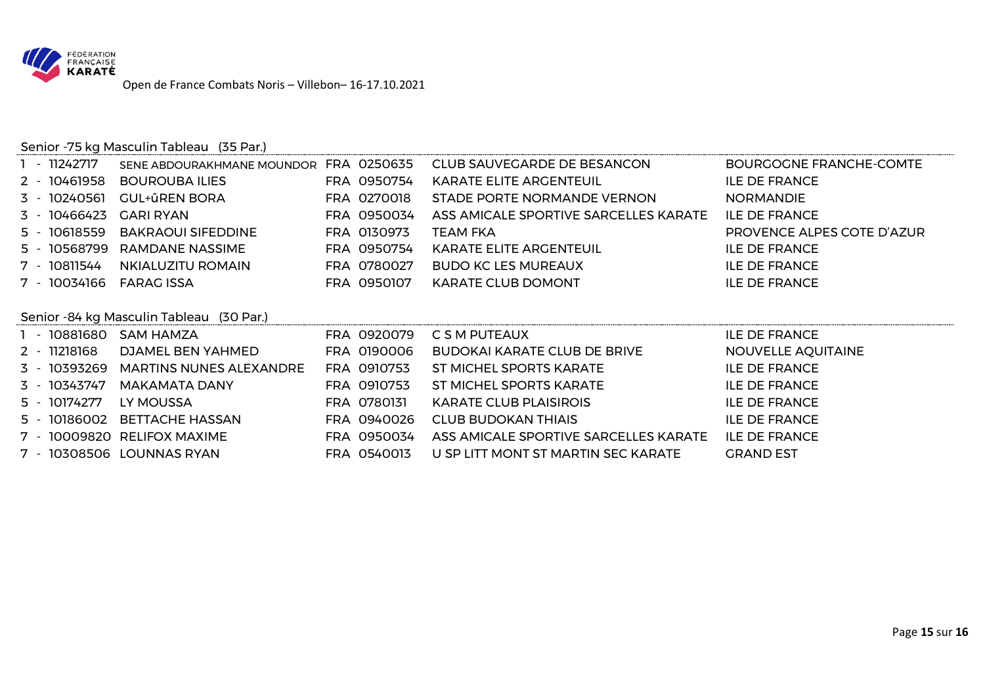

### Senior -75 kg Masculin Tableau (35 Par.)

| 1 - 11242717           | SENE ABDOURAKHMANE MOUNDOR FRA 0250635 |             | CLUB SAUVEGARDE DE BESANCON           | <b>BOURGOGNE FRANCHE-COMTE</b> |
|------------------------|----------------------------------------|-------------|---------------------------------------|--------------------------------|
| 2 - 10461958           | BOUROUBA ILIES                         | FRA 0950754 | <b>KARATE ELITE ARGENTEUIL</b>        | <b>ILE DE FRANCE</b>           |
| 3 - 10240561           | <b>GUL+ûREN BORA</b>                   | FRA 0270018 | STADE PORTE NORMANDE VERNON           | <b>NORMANDIE</b>               |
| 3 - 10466423 CARI RYAN |                                        | FRA 0950034 | ASS AMICALE SPORTIVE SARCELLES KARATE | <b>ILE DE FRANCE</b>           |
| 5 - 10618559           | BAKRAOUI SIFEDDINE                     | FRA 0130973 | TEAM FKA                              | PROVENCE ALPES COTE D'AZUR     |
|                        | 5 - 10568799 RAMDANE NASSIME           | FRA 0950754 | <b>KARATE ELITE ARGENTEUIL</b>        | <b>ILE DE FRANCE</b>           |
| 7 - 10811544           | NKIALUZITU ROMAIN                      | FRA 0780027 | <b>BUDO KC LES MUREAUX</b>            | <b>ILE DE FRANCE</b>           |
| 7 - 10034166           | FARAG ISSA                             | FRA 0950107 | <b>KARATE CLUB DOMONT</b>             | <b>ILE DE FRANCE</b>           |

#### Senior -84 kg Masculin Tableau (30 Par.)

| 10881680<br>$\sim$ $-$ | SAM HAMZA                    | FRA 0920079 | C S M PUTEAUX                         | <b>ILE DE FRANCE</b> |
|------------------------|------------------------------|-------------|---------------------------------------|----------------------|
| 2 - 11218168           | DJAMEL BEN YAHMED            | FRA 0190006 | <b>BUDOKAI KARATE CLUB DE BRIVE</b>   | NOUVELLE AQUITAINE   |
| 3 - 10393269           | MARTINS NUNES ALEXANDRE      | FRA 0910753 | ST MICHEL SPORTS KARATE               | <b>ILE DE FRANCE</b> |
| 3 - 10343747           | <b>MAKAMATA DANY</b>         | FRA 0910753 | ST MICHEL SPORTS KARATE               | <b>ILE DE FRANCE</b> |
| 5 - 10174277           | LY MOUSSA                    | FRA 0780131 | <b>KARATE CLUB PLAISIROIS</b>         | <b>ILE DE FRANCE</b> |
|                        | 5 - 10186002 BETTACHE HASSAN | FRA 0940026 | CLUB BUDOKAN THIAIS                   | <b>ILE DE FRANCE</b> |
|                        | 7 - 10009820 RELIFOX MAXIME  | FRA 0950034 | ASS AMICALE SPORTIVE SARCELLES KARATE | <b>ILE DE FRANCE</b> |
|                        | 7 - 10308506 LOUNNAS RYAN    | FRA 0540013 | U SP LITT MONT ST MARTIN SEC KARATE   | <b>GRAND EST</b>     |